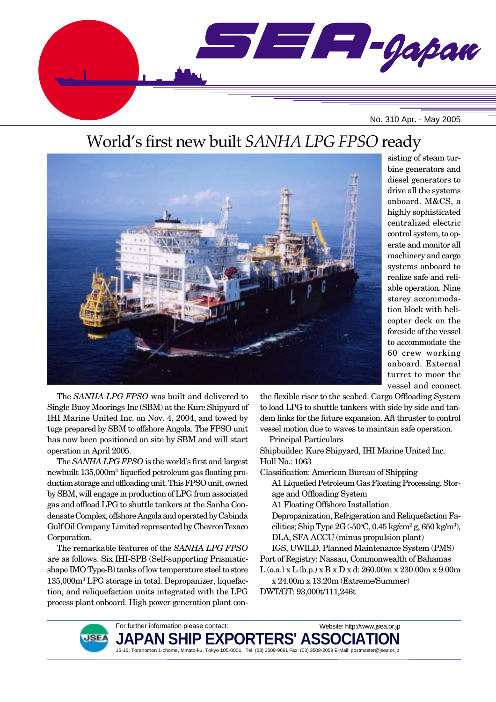

# World's first new built *SANHA LPG FPSO* ready



sisting of steam turbine generators and diesel generators to drive all the systems onboard. M&CS, a highly sophisticated centralized electric control system, to operate and monitor all machinery and cargo systems onboard to realize safe and reliable operation. Nine storey accommodation block with helicopter deck on the foreside of the vessel to accommodate the 60 crew working onboard. External turret to moor the vessel and connect

The *SANHA LPG FPSO* was built and delivered to Single Buoy Moorings Inc (SBM) at the Kure Shipyard of IHI Marine United Inc. on Nov. 4, 2004, and towed by tugs prepared by SBM to offshore Angola. The FPSO unit has now been positioned on site by SBM and will start operation in April 2005.

The *SANHA LPG FPSO* is the world's first and largest newbuilt 135,000m3 liquefied petroleum gas floating production storage and offloading unit. This FPSO unit, owned by SBM, will engage in production of LPG from associated gas and offload LPG to shuttle tankers at the Sanha Condensate Complex, offshore Angola and operated by Cabinda Gulf Oil Company Limited represented by ChevronTexaco Corporation.

The remarkable features of the *SANHA LPG FPSO* are as follows. Six IHI-SPB (Self-supporting Prismaticshape IMO Type-B) tanks of low temperature steel to store 135,000m3 LPG storage in total. Depropanizer, liquefaction, and reliquefaction units integrated with the LPG process plant onboard. High power generation plant conthe flexible riser to the seabed. Cargo Offloading System to load LPG to shuttle tankers with side by side and tandem links for the future expansion. Aft thruster to control vessel motion due to waves to maintain safe operation.

Principal Particulars

Shipbuilder: Kure Shipyard, IHI Marine United Inc. Hull No.: 1063

Classification: American Bureau of Shipping

- A1 Liquefied Petroleum Gas Floating Processing, Storage and Offloading System
- A1 Floating Offshore Installation

Depropanization, Refrigeration and Reliquefaction Facilities; Ship Type  $2G$  (-50°C, 0.45 kg/cm<sup>2</sup> g, 650 kg/m<sup>3</sup>), DLA, SFA ACCU (minus propulsion plant)

IGS, UWILD, Planned Maintenance System (PMS) Port of Registry: Nassau, Commonwealth of Bahamas L (o.a.) x L (b.p.) x B x D x d: 260.00m x 230.00m x 9.00m

Website: http://www.jsea.or.jp

x 24.00m x 13.20m (Extreme/Summer) DWT/GT: 93,000t/111,246t



JAPAN SHIP EXPORTERS' ASSO**(** 15-16, Toranomon 1-chome, Minato-ku, Tokyo 105-0001 Tel: (03) 3508-9661 Fax: (03) 3508-2058 E-Mail: postmaster@jsea.or.jp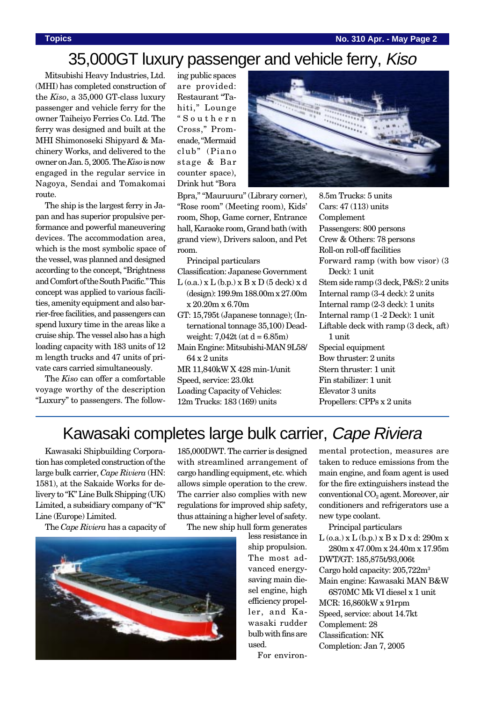# 35,000GT luxury passenger and vehicle ferry, Kiso

Mitsubishi Heavy Industries, Ltd. (MHI) has completed construction of the *Kiso*, a 35,000 GT-class luxury passenger and vehicle ferry for the owner Taiheiyo Ferries Co. Ltd. The ferry was designed and built at the MHI Shimonoseki Shipyard & Machinery Works, and delivered to the owner on Jan. 5, 2005. The *Kiso* is now engaged in the regular service in Nagoya, Sendai and Tomakomai route.

The ship is the largest ferry in Japan and has superior propulsive performance and powerful maneuvering devices. The accommodation area, which is the most symbolic space of the vessel, was planned and designed according to the concept, "Brightness and Comfort of the South Pacific." This concept was applied to various facilities, amenity equipment and also barrier-free facilities, and passengers can spend luxury time in the areas like a cruise ship. The vessel also has a high loading capacity with 183 units of 12 m length trucks and 47 units of private cars carried simultaneously.

The *Kiso* can offer a comfortable voyage worthy of the description "Luxury" to passengers. The following public spaces are provided: Restaurant "Tahiti," Lounge "Southern Cross," Promenade, "Mermaid club" (Piano stage & Bar counter space), Drink hut "Bora



Bpra," "Mauruuru" (Library corner), "Rose room" (Meeting room), Kids' room, Shop, Game corner, Entrance hall, Karaoke room, Grand bath (with grand view), Drivers saloon, and Pet room.

Principal particulars Classification: Japanese Government  $L$  (o.a.)  $x L$  (b.p.)  $x B x D$  (5 deck)  $x d$ (design): 199.9m 188.00m x 27.00m x 20.20m x 6.70m

- GT: 15,795t (Japanese tonnage); (International tonnage 35,100) Deadweight:  $7.042t$  (at  $d = 6.85m$ )
- Main Engine: Mitsubishi-MAN 9L58/ 64 x 2 units MR 11,840kW X 428 min-1/unit

Speed, service: 23.0kt

Loading Capacity of Vehicles: 12m Trucks: 183 (169) units

8.5m Trucks: 5 units Cars: 47 (113) units **Complement** Passengers: 800 persons Crew & Others: 78 persons Roll-on roll-off facilities Forward ramp (with bow visor) (3 Deck): 1 unit Stem side ramp (3 deck, P&S): 2 units Internal ramp (3-4 deck): 2 units Internal ramp (2-3 deck): 1 units Internal ramp (1 -2 Deck): 1 unit Liftable deck with ramp (3 deck, aft) 1 unit Special equipment Bow thruster: 2 units Stern thruster: 1 unit Fin stabilizer: 1 unit Elevator 3 units Propellers: CPPs x 2 units

### Kawasaki completes large bulk carrier, Cape Riviera

Kawasaki Shipbuilding Corporation has completed construction of the large bulk carrier, *Cape Riviera* (HN: 1581), at the Sakaide Works for delivery to "K" Line Bulk Shipping (UK) Limited, a subsidiary company of "K" Line (Europe) Limited.

The *Cape Riviera* has a capacity of



185,000DWT. The carrier is designed with streamlined arrangement of cargo handling equipment, etc. which allows simple operation to the crew. The carrier also complies with new regulations for improved ship safety, thus attaining a higher level of safety.

The new ship hull form generates

less resistance in ship propulsion. The most advanced energysaving main diesel engine, high efficiency propeller, and Kawasaki rudder bulb with fins are used. For environmental protection, measures are taken to reduce emissions from the main engine, and foam agent is used for the fire extinguishers instead the  $conventional CO<sub>2</sub> agent. Moreover, air$ conditioners and refrigerators use a new type coolant.

Principal particulars

 $L$  (o.a.) x  $L$  (b.p.) x  $B$  x  $D$  x d: 290m x 280m x 47.00m x 24.40m x 17.95m DWT/GT: 185,875t/93,006t Cargo hold capacity: 205,722m3 Main engine: Kawasaki MAN B&W

6S70MC Mk VI diesel x 1 unit MCR: 16,860kW x 91rpm Speed, service: about 14.7kt Complement: 28 Classification: NK Completion: Jan 7, 2005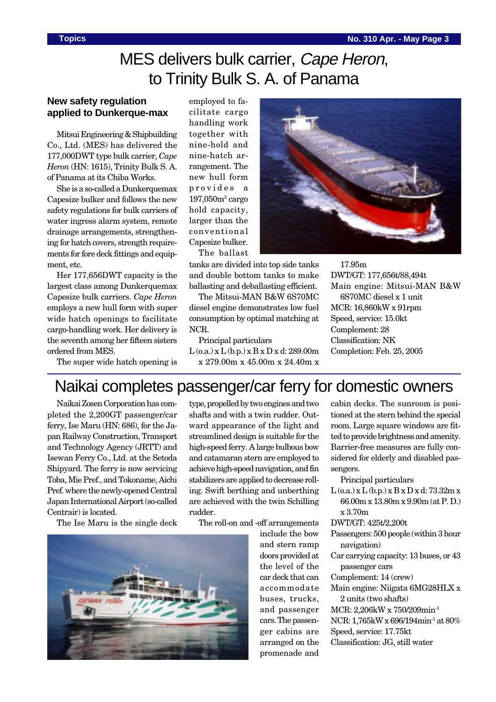# MES delivers bulk carrier, Cape Heron, to Trinity Bulk S. A. of Panama

### **New safety regulation applied to Dunkerque-max**

Mitsui Engineering & Shipbuilding Co., Ltd. (MES) has delivered the 177,000DWT type bulk carrier, *Cape Heron* (HN: 1615), Trinity Bulk S. A. of Panama at its Chiba Works.

She is a so-called a Dunkerquemax Capesize bulker and follows the new safety regulations for bulk carriers of water ingress alarm system, remote drainage arrangements, strengthening for hatch covers, strength requirements for fore deck fittings and equipment, etc.

Her 177,656DWT capacity is the largest class among Dunkerquemax Capesize bulk carriers. *Cape Heron* employs a new hull form with super wide hatch openings to facilitate cargo-handling work. Her delivery is the seventh among her fifteen sisters ordered from MES.

employed to facilitate cargo handling work together with nine-hold and nine-hatch arrangement. The new hull form provides a 197,050m3 cargo hold capacity, larger than the conventional Capesize bulker. The ballast

tanks are divided into top side tanks and double bottom tanks to make ballasting and deballasting efficient.

The Mitsui-MAN B&W 6S70MC diesel engine demonstrates low fuel consumption by optimal matching at NCR.

Principal particulars

 $L$  (o.a.) x  $L$  (b.p.) x  $B$  x  $D$  x d: 289.00m x 279.00m x 45.00m x 24.40m x

17.95m DWT/GT: 177,656t/88,494t Main engine: Mitsui-MAN B&W 6S70MC diesel x 1 unit MCR: 16,860kW x 91rpm Speed, service: 15.0kt Complement: 28 Classification: NK Completion: Feb. 25, 2005

The super wide hatch opening is

# Naikai completes passenger/car ferry for domestic owners

Naikai Zosen Corporation has completed the 2,200GT passenger/car ferry, Ise Maru (HN: 686), for the Japan Railway Construction, Transport and Technology Agency (JRTT) and Isewan Ferry Co., Ltd. at the Setoda Shipyard. The ferry is now servicing Toba, Mie Pref., and Tokoname, Aichi Pref. where the newly-opened Central Japan International Airport (so-called Centrair) is located.

The Ise Maru is the single deck

type, propelled by two engines and two shafts and with a twin rudder. Outward appearance of the light and streamlined design is suitable for the high-speed ferry. A large bulbous bow and catamaran stern are employed to achieve high-speed navigation, and fin stabilizers are applied to decrease rolling. Swift berthing and unberthing are achieved with the twin Schilling rudder.

The roll-on and -off arrangements



include the bow and stern ramp doors provided at the level of the car deck that can accommodate buses, trucks, and passenger cars. The passenger cabins are arranged on the promenade and

cabin decks. The sunroom is positioned at the stern behind the special room. Large square windows are fitted to provide brightness and amenity. Barrier-free measures are fully considered for elderly and disabled passengers.

Principal particulars

 $L$  (o.a.)  $x L$  (b.p.)  $x B x D x d$ : 73.32m  $x$ 66.00m x 13.80m x 9.90m (at P. D.) x 3.70m

DWT/GT: 425t/2,200t

- Passengers: 500 people (within 3 hour navigation)
- Car carrying capacity: 13 buses, or 43 passenger cars

Complement: 14 (crew)

- Main engine: Niigata 6MG28HLX x 2 units (two shafts)
- MCR: 2,206kW x 750/209min-1
- NCR: 1,765kW x 696/194min-1 at 80%

Speed, service: 17.75kt

Classification: JG, still water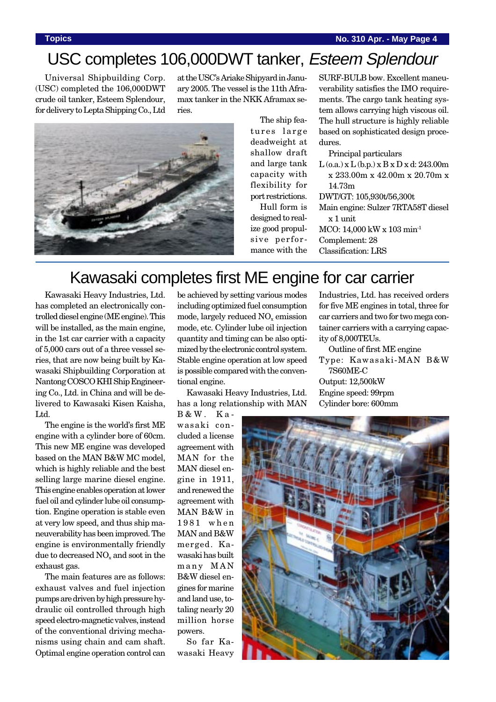## USC completes 106,000DWT tanker, Esteem Splendour

Universal Shipbuilding Corp. (USC) completed the 106,000DWT crude oil tanker, Esteem Splendour, for delivery to Lepta Shipping Co., Ltd

at the USC's Ariake Shipyard in January 2005. The vessel is the 11th Aframax tanker in the NKK Aframax series.



The ship features large deadweight at shallow draft and large tank capacity with flexibility for port restrictions. Hull form is designed to real-

ize good propulsive performance with the

SURF-BULB bow. Excellent maneuverability satisfies the IMO requirements. The cargo tank heating system allows carrying high viscous oil. The hull structure is highly reliable based on sophisticated design procedures.

Principal particulars

L (o.a.) x L (b.p.) x B x D x d: 243.00m x 233.00m x 42.00m x 20.70m x 14.73m

DWT/GT: 105,930t/56,300t

Main engine: Sulzer 7RTA58T diesel x 1 unit

Industries, Ltd. has received orders for five ME engines in total, three for car carriers and two for two mega con-

MCO: 14,000 kW x 103 min-1

Complement: 28

Classification: LRS

## Kawasaki completes first ME engine for car carrier

Kawasaki Heavy Industries, Ltd. has completed an electronically controlled diesel engine (ME engine). This will be installed, as the main engine, in the 1st car carrier with a capacity of 5,000 cars out of a three vessel series, that are now being built by Kawasaki Shipbuilding Corporation at Nantong COSCO KHI Ship Engineering Co., Ltd. in China and will be delivered to Kawasaki Kisen Kaisha, Ltd.

The engine is the world's first ME engine with a cylinder bore of 60cm. This new ME engine was developed based on the MAN B&W MC model, which is highly reliable and the best selling large marine diesel engine. This engine enables operation at lower fuel oil and cylinder lube oil consumption. Engine operation is stable even at very low speed, and thus ship maneuverability has been improved. The engine is environmentally friendly due to decreased  $NO<sub>x</sub>$  and soot in the exhaust gas.

The main features are as follows: exhaust valves and fuel injection pumps are driven by high pressure hydraulic oil controlled through high speed electro-magnetic valves, instead of the conventional driving mechanisms using chain and cam shaft. Optimal engine operation control can

be achieved by setting various modes including optimized fuel consumption mode, largely reduced  $NO<sub>x</sub>$  emission mode, etc. Cylinder lube oil injection quantity and timing can be also optimized by the electronic control system. Stable engine operation at low speed is possible compared with the conventional engine.

Kawasaki Heavy Industries, Ltd. has a long relationship with MAN

B&W. Kawasaki concluded a license agreement with MAN for the MAN diesel engine in 1911, and renewed the agreement with MAN B&W in 1981 when MAN and B&W merged. Kawasaki has built many MAN B&W diesel engines for marine and land use, totaling nearly 20 million horse powers.

So far Kawasaki Heavy

tainer carriers with a carrying capacity of 8,000TEUs. Outline of first ME engine Type: Kawasaki-MAN B&W 7S60ME-C Output: 12,500kW Engine speed: 99rpm Cylinder bore: 600mm

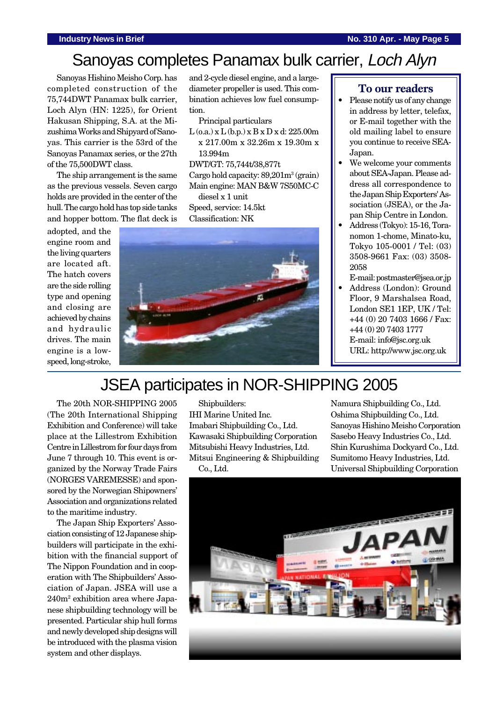#### **Industry News in Brief No. 310 Apr. - May Page 5**

# Sanoyas completes Panamax bulk carrier, Loch Alyn

Sanoyas Hishino Meisho Corp. has completed construction of the 75,744DWT Panamax bulk carrier, Loch Alyn (HN: 1225), for Orient Hakusan Shipping, S.A. at the Mizushima Works and Shipyard of Sanoyas. This carrier is the 53rd of the Sanoyas Panamax series, or the 27th of the 75,500DWT class.

The ship arrangement is the same as the previous vessels. Seven cargo holds are provided in the center of the hull. The cargo hold has top side tanks and hopper bottom. The flat deck is

adopted, and the engine room and the living quarters are located aft. The hatch covers are the side rolling type and opening and closing are achieved by chains and hydraulic drives. The main engine is a lowspeed, long-stroke,

and 2-cycle diesel engine, and a largediameter propeller is used. This combination achieves low fuel consumption.

Principal particulars

L (o.a.) x L (b.p.) x B x D x d: 225.00m x 217.00m x 32.26m x 19.30m x 13.994m

DWT/GT: 75,744t/38,877t

Cargo hold capacity: 89,201m<sup>3</sup> (grain) Main engine: MAN B&W 7S50MC-C

diesel x 1 unit

Speed, service: 14.5kt Classification: NK



### **To our readers**

- Please notify us of any change in address by letter, telefax, or E-mail together with the old mailing label to ensure you continue to receive SEA-Japan.
- We welcome your comments about SEA-Japan. Please address all correspondence to the Japan Ship Exporters' Association (JSEA), or the Japan Ship Centre in London.
- Address (Tokyo): 15-16, Toranomon 1-chome, Minato-ku, Tokyo 105-0001 / Tel: (03) 3508-9661 Fax: (03) 3508- 2058
- E-mail: postmaster@jsea.or.jp • Address (London): Ground
- Floor, 9 Marshalsea Road, London SE1 1EP, UK / Tel: +44 (0) 20 7403 1666 / Fax: +44 (0) 20 7403 1777 E-mail: info@jsc.org.uk URL: http://www.jsc.org.uk

# JSEA participates in NOR-SHIPPING 2005

The 20th NOR-SHIPPING 2005 (The 20th International Shipping Exhibition and Conference) will take place at the Lillestrom Exhibition Centre in Lillestrom for four days from June 7 through 10. This event is organized by the Norway Trade Fairs (NORGES VAREMESSE) and sponsored by the Norwegian Shipowners' Association and organizations related to the maritime industry.

The Japan Ship Exporters' Association consisting of 12 Japanese shipbuilders will participate in the exhibition with the financial support of The Nippon Foundation and in cooperation with The Shipbuilders' Association of Japan. JSEA will use a 240m2 exhibition area where Japanese shipbuilding technology will be presented. Particular ship hull forms and newly developed ship designs will be introduced with the plasma vision system and other displays.

Shipbuilders:

IHI Marine United Inc. Imabari Shipbuilding Co., Ltd. Kawasaki Shipbuilding Corporation Mitsubishi Heavy Industries, Ltd. Mitsui Engineering & Shipbuilding Co., Ltd.

Namura Shipbuilding Co., Ltd. Oshima Shipbuilding Co., Ltd. Sanoyas Hishino Meisho Corporation Sasebo Heavy Industries Co., Ltd. Shin Kurushima Dockyard Co., Ltd. Sumitomo Heavy Industries, Ltd. Universal Shipbuilding Corporation